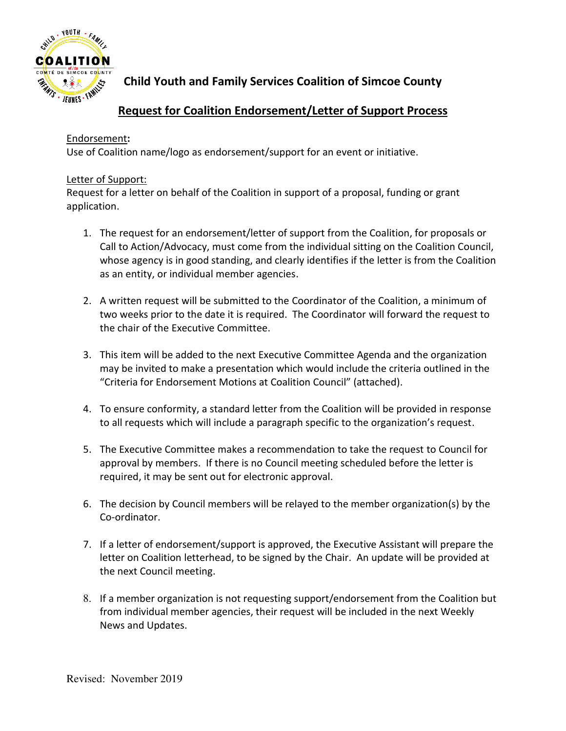

**Child Youth and Family Services Coalition of Simcoe County** 

# **Request for Coalition Endorsement/Letter of Support Process**

### Endorsement**:**

Use of Coalition name/logo as endorsement/support for an event or initiative.

#### Letter of Support:

Request for a letter on behalf of the Coalition in support of a proposal, funding or grant application.

- 1. The request for an endorsement/letter of support from the Coalition, for proposals or Call to Action/Advocacy, must come from the individual sitting on the Coalition Council, whose agency is in good standing, and clearly identifies if the letter is from the Coalition as an entity, or individual member agencies.
- 2. A written request will be submitted to the Coordinator of the Coalition, a minimum of two weeks prior to the date it is required. The Coordinator will forward the request to the chair of the Executive Committee.
- 3. This item will be added to the next Executive Committee Agenda and the organization may be invited to make a presentation which would include the criteria outlined in the "Criteria for Endorsement Motions at Coalition Council" (attached).
- 4. To ensure conformity, a standard letter from the Coalition will be provided in response to all requests which will include a paragraph specific to the organization's request.
- 5. The Executive Committee makes a recommendation to take the request to Council for approval by members. If there is no Council meeting scheduled before the letter is required, it may be sent out for electronic approval.
- 6. The decision by Council members will be relayed to the member organization(s) by the Co-ordinator.
- 7. If a letter of endorsement/support is approved, the Executive Assistant will prepare the letter on Coalition letterhead, to be signed by the Chair. An update will be provided at the next Council meeting.
- 8. If a member organization is not requesting support/endorsement from the Coalition but from individual member agencies, their request will be included in the next Weekly News and Updates.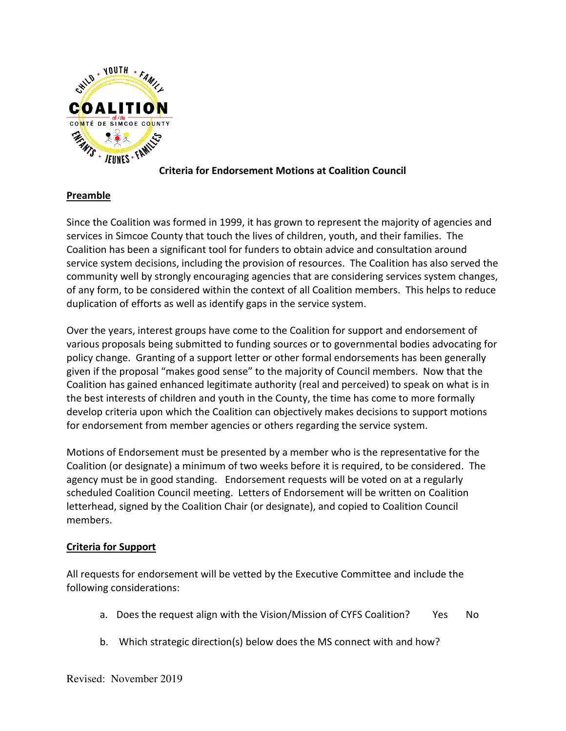

### **Criteria for Endorsement Motions at Coalition Council**

## **Preamble**

Since the Coalition was formed in 1999, it has grown to represent the majority of agencies and services in Simcoe County that touch the lives of children, youth, and their families. The Coalition has been a significant tool for funders to obtain advice and consultation around service system decisions, including the provision of resources. The Coalition has also served the community well by strongly encouraging agencies that are considering services system changes, of any form, to be considered within the context of all Coalition members. This helps to reduce duplication of efforts as well as identify gaps in the service system.

Over the years, interest groups have come to the Coalition for support and endorsement of various proposals being submitted to funding sources or to governmental bodies advocating for policy change. Granting of a support letter or other formal endorsements has been generally given if the proposal "makes good sense" to the majority of Council members. Now that the Coalition has gained enhanced legitimate authority (real and perceived) to speak on what is in the best interests of children and youth in the County, the time has come to more formally develop criteria upon which the Coalition can objectively makes decisions to support motions for endorsement from member agencies or others regarding the service system.

Motions of Endorsement must be presented by a member who is the representative for the Coalition (or designate) a minimum of two weeks before it is required, to be considered. The agency must be in good standing. Endorsement requests will be voted on at a regularly scheduled Coalition Council meeting. Letters of Endorsement will be written on Coalition letterhead, signed by the Coalition Chair (or designate), and copied to Coalition Council members.

### **Criteria for Support**

All requests for endorsement will be vetted by the Executive Committee and include the following considerations:

- a. Does the request align with the Vision/Mission of CYFS Coalition? Yes No
- b. Which strategic direction(s) below does the MS connect with and how?